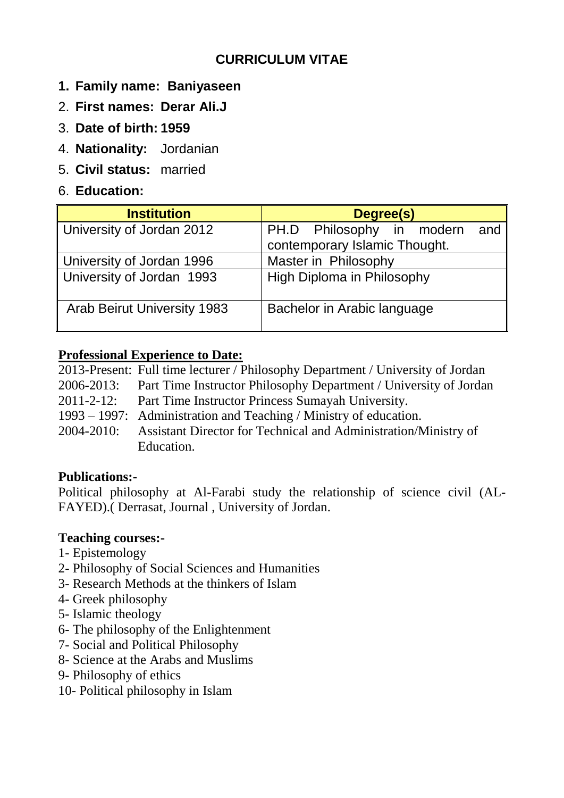# **CURRICULUM VITAE**

- **1. Family name: Baniyaseen**
- 2. **First names: Derar Ali.J**
- 3. **Date of birth: 1959**
- 4. **Nationality:** Jordanian
- 5. **Civil status:** married
- 6. **Education:**

| <b>Institution</b>                 | Degree(s)                        |
|------------------------------------|----------------------------------|
| University of Jordan 2012          | PH.D Philosophy in modern<br>and |
|                                    | contemporary Islamic Thought.    |
| University of Jordan 1996          | Master in Philosophy             |
| University of Jordan 1993          | High Diploma in Philosophy       |
| <b>Arab Beirut University 1983</b> | Bachelor in Arabic language      |

### **Professional Experience to Date:**

|            | 2013-Present: Full time lecturer / Philosophy Department / University of Jordan |
|------------|---------------------------------------------------------------------------------|
|            | 2006-2013: Part Time Instructor Philosophy Department / University of Jordan    |
| 2011-2-12: | Part Time Instructor Princess Sumayah University.                               |
|            | 1993 – 1997: Administration and Teaching / Ministry of education.               |
| 2004-2010: | Assistant Director for Technical and Administration/Ministry of                 |
|            | Education.                                                                      |

### **Publications:-**

Political philosophy at Al-Farabi study the relationship of science civil (AL-FAYED).( Derrasat, Journal , University of Jordan.

### **Teaching courses:-**

- 1- Epistemology
- 2- Philosophy of Social Sciences and Humanities
- 3- Research Methods at the thinkers of Islam
- 4- Greek philosophy
- 5- Islamic theology
- 6- The philosophy of the Enlightenment
- 7- Social and Political Philosophy
- 8- Science at the Arabs and Muslims
- 9- Philosophy of ethics
- 10- Political philosophy in Islam